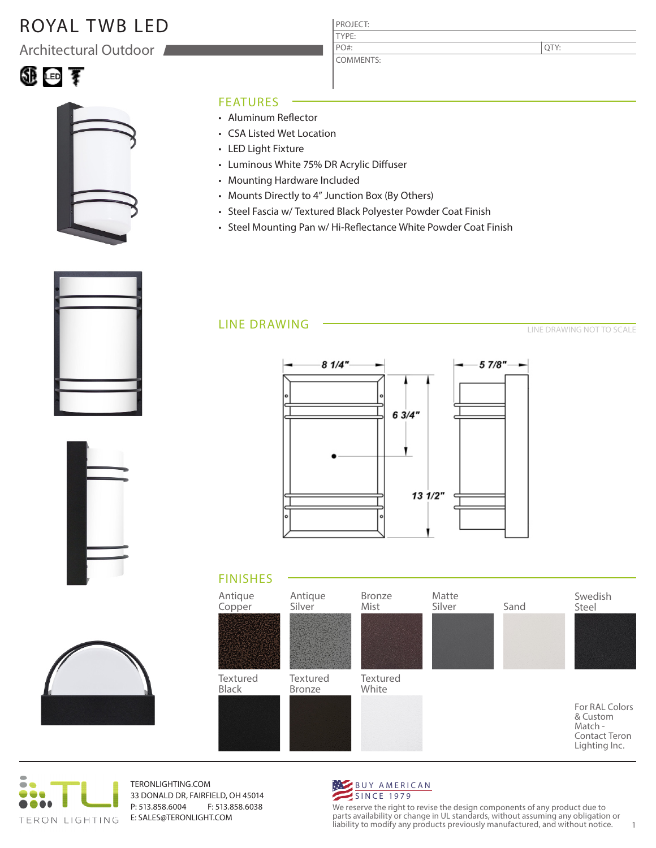## ROYAL TWB LED

Architectural Outdoor





#### FEATURES

- Aluminum Reflector
- CSA Listed Wet Location
- LED Light Fixture
- Luminous White 75% DR Acrylic Diffuser
- Mounting Hardware Included
- Mounts Directly to 4" Junction Box (By Others)
- Steel Fascia w/ Textured Black Polyester Powder Coat Finish

PROJECT: TYPE:

PO#:

COMMENTS:

• Steel Mounting Pan w/ Hi-Reflectance White Powder Coat Finish

### LINE DRAWING

LINE DRAWING NOT TO SCALE

QTY:









TERONLIGHTING.COM 33 DONALD DR, FAIRFIELD, OH 45014 P: 513.858.6004 F: 513.858.6038 E: SALES@TERONLIGHT.COM



We reserve the right to revise the design components of any product due to parts availability or change in UL standards, without assuming any obligation or liability to modify any products previously manufactured, and without notice. 1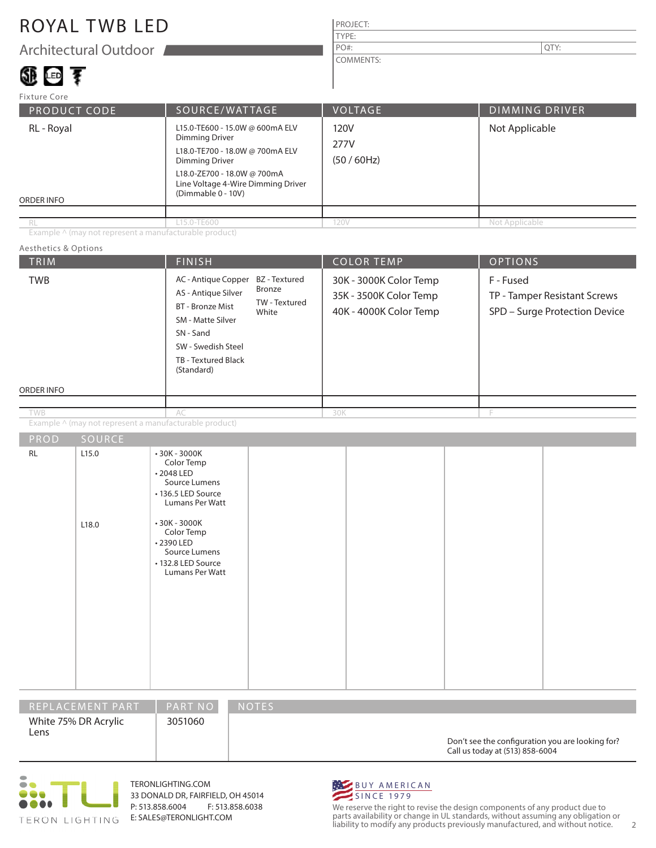## ROYAL TWB LED

Architectural Outdoor

# 699 1880 李

#### PROJECT: TYPE: COMMENTS: PO#:  $\vert$  QTY:

PRODUCT CODE SOURCE/WATTAGE VOLTAGE DIMMING DRIVER ORDER INFO Fixture Core RL - Royal L15.0-TE600 - 15.0W @ 600mA ELV Dimming Driver L18.0-TE700 - 18.0W @ 700mA ELV Dimming Driver L18.0-ZE700 - 18.0W @ 700mA Line Voltage 4-Wire Dimming Driver (Dimmable 0 - 10V) 120V 277V (50 / 60Hz) Not Applicable L15.0-TE600 120V Not Applicable

Example  $\wedge$  (may not represent a manufacturable product)

#### TRIM  $\vert$  Finish  $\vert$  Color Temp  $\vert$  Options ORDER INFO Aesthetics & Options PROD SOURCE Example ^ (may not represent a manufacturable product) 30K - 3000K Color Temp 35K - 3500K Color Temp 40K - 4000K Color Temp F - Fused TP - Tamper Resistant Screws SPD – Surge Protection Device AC - Antique Copper AS - Antique Silver BT - Bronze Mist SM - Matte Silver SN - Sand SW - Swedish Steel TB - Textured Black (Standard) AC 30K F RL 2.5.0 L18.0 • 30K - 3000K Color Temp • 2048 LED Source Lumens • 136.5 LED Source Lumans Per Watt • 30K - 3000K Color Temp • 2390 LED Source Lumens • 132.8 LED Source Lumans Per Watt BZ - Textured Bronze TW - Textured White TWB TWB

| REPLACEMENT PART             | <b>PART NO</b> | <b>NOTES</b>                                                                        |
|------------------------------|----------------|-------------------------------------------------------------------------------------|
| White 75% DR Acrylic<br>Lens | 3051060        | Don't see the configuration you are looking for?<br>Call us today at (513) 858-6004 |



TERONLIGHTING.COM 33 DONALD DR, FAIRFIELD, OH 45014 P: 513.858.6004 F: 513.858.6038 E: SALES@TERONLIGHT.COM



We reserve the right to revise the design components of any product due to parts availability or change in UL standards, without assuming any obligation or liability to modify any products previously manufactured, and without notice. 2